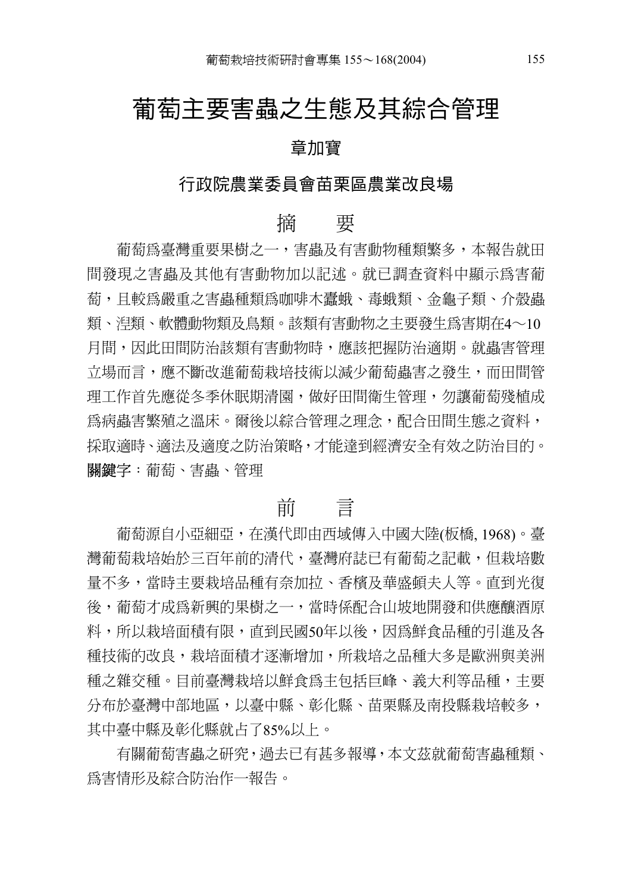# 葡萄主要害蟲之生態及其綜合管理

#### 章加寶

### 行政院農業委員會苗栗區農業改良場

## 摘 要

葡萄為臺灣重要果樹之一,害蟲及有害動物種類繁多,本報告就田 間發現之害蟲及其他有害動物加以記述。就已調查資料中顯示為害葡 萄,且較為嚴重之害蟲種類為咖啡木蠹蛾、毒蛾類、金龜子類、介殼蟲 類、湼類、軟體動物類及鳥類。該類有害動物之主要發生爲害期在4〜10 月間,因此田間防治該類有害動物時,應該把握防治適期。就蟲害管理 立場而言,應不斷改進葡萄栽培技術以減少葡萄蟲害之發生,而田間管 理工作首先應從冬季休眠期清園,做好田間衛生管理,勿讓葡萄殘植成 為病蟲害繁殖之溫床。爾後以綜合管理之理念,配合田間生態之資料, 採取適時、適法及適度之防治策略,才能達到經濟安全有效之防治目的。 關鍵字:葡萄、害蟲、管理

## 前 言

葡萄源自小亞細亞,在漢代即由西域傳入中國大陸(板橋, 1968)。臺 灣葡萄栽培始於三百年前的清代,臺灣府誌已有葡萄之記載,但栽培數 量不多,當時主要栽培品種有奈加拉、香檳及華盛頓夫人等。直到光復 後,葡萄才成為新興的果樹之一,當時係配合山坡地開發和供應釀酒原 料,所以栽培而積有限,直到民國50年以後,因為鮮食品種的引進及各 種技術的改良,栽培面積才逐漸增加,所栽培之品種大多是歐洲與美洲 種之雜交種。目前臺灣栽培以鮮食為主包括巨峰、義大利等品種,主要 分布於臺灣中部地區,以臺中縣、彰化縣、苗栗縣及南投縣栽培較多, 其中臺中縣及彰化縣就占了85%以上。

有關葡萄害蟲之研究,過去已有甚多報導,本文茲就葡萄害蟲種類、 為害情形及綜合防治作一報告。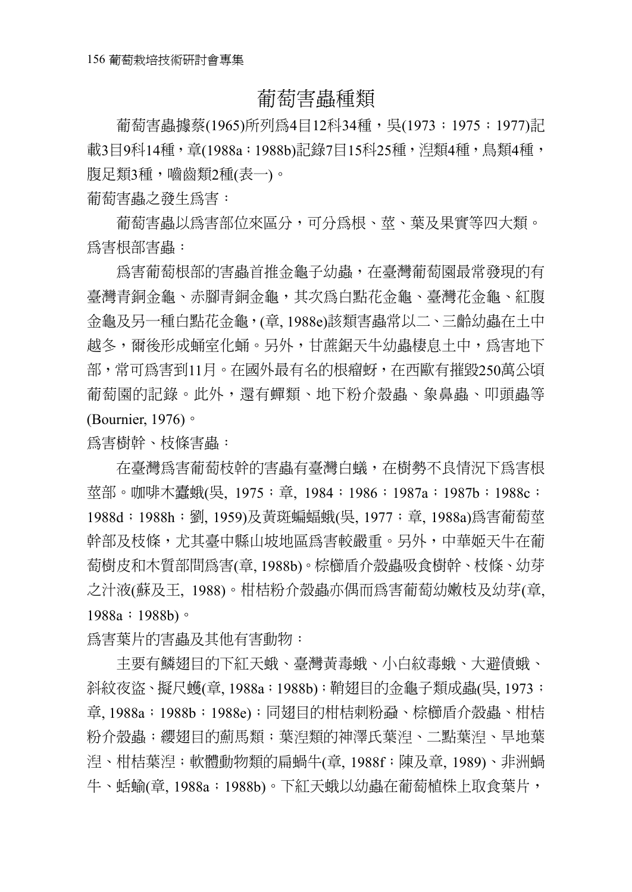## 葡萄害蟲種類

葡萄害蟲據蔡(1965)所列為4目12科34種,吳(1973;1975;1977)記 載3目9科14種, 章(1988a;1988b)記錄7目15科25種, 涅類4種, 鳥類4種, 腹足類3種,嚙齒類2種(表一)。

葡萄害蟲之發生為害:

葡萄害蟲以為害部位來區分,可分為根、莖、葉及果實等四大類。 為害根部害蟲:

為害葡萄根部的害蟲首推金龜子幼蟲,在臺灣葡萄園最常發現的有 臺灣青銅金龜、赤腳青銅金龜,其次為白點花金龜、臺灣花金龜、紅腹 金龜及另一種白點花金龜,(章, 1988e)該類害蟲常以二、三齡幼蟲在土中 越冬,爾後形成蛹室化蛹。另外,甘蔗鋸天牛幼蟲棲息土中,爲害地下 部,常可為害到11月。在國外最有名的根瘤蚜,在西歐有摧毀250萬公頃 葡萄園的記錄。此外,還有蟬類、地下粉介殼蟲、象鼻蟲、叩頭蟲等 (Bournier, 1976)。

為害樹幹、枝條害蟲:

在臺灣為害葡萄枝幹的害蟲有臺灣白蟻,在樹勢不良情況下為害根 莖部。咖啡木蠹蛾(吳, 1975; 章, 1984;1986;1987a;1987b;1988c; 1988d;1988h;劉,1959)及黃斑蝙蝠蛾(吳,1977;章,1988a)為害葡萄莖 幹部及枝條,尤其臺中縣山坡地區為害較嚴重。另外,中華姬天牛在葡 萄樹皮和木質部間為害(章, 1988b)。棕櫛盾介殼蟲吸食樹幹、枝條、幼芽 之汁液(蘇及王, 1988)。柑桔粉介殼蟲亦偶而為害葡萄幼嫩枝及幼芽(章, 1988a;1988b)。

為害葉片的害蟲及其他有害動物:

主要有鱗翅目的下紅天蛾、臺灣黃毒蛾、小白紋毒蛾、大避債蛾、 斜紋夜盜、擬尺蠖(章, 1988a;1988b);鞘翅目的金龜子類成蟲(吳, 1973; 章, 1988a;1988b;1988e);同翅目的柑桔刺粉蝨、棕櫛盾介殼蟲、柑桔 粉介殼蟲;纓翅目的薊馬類;葉湼類的神澤氏葉湼、二點葉湼、旱地葉 湼、柑桔葉湼;軟體動物類的扁蝸牛(章, 1988f;陳及章, 1989)、非洲蝸 牛、蛞蝓(章, 1988a;1988b)。下紅天蛾以幼蟲在葡萄植株上取食葉片,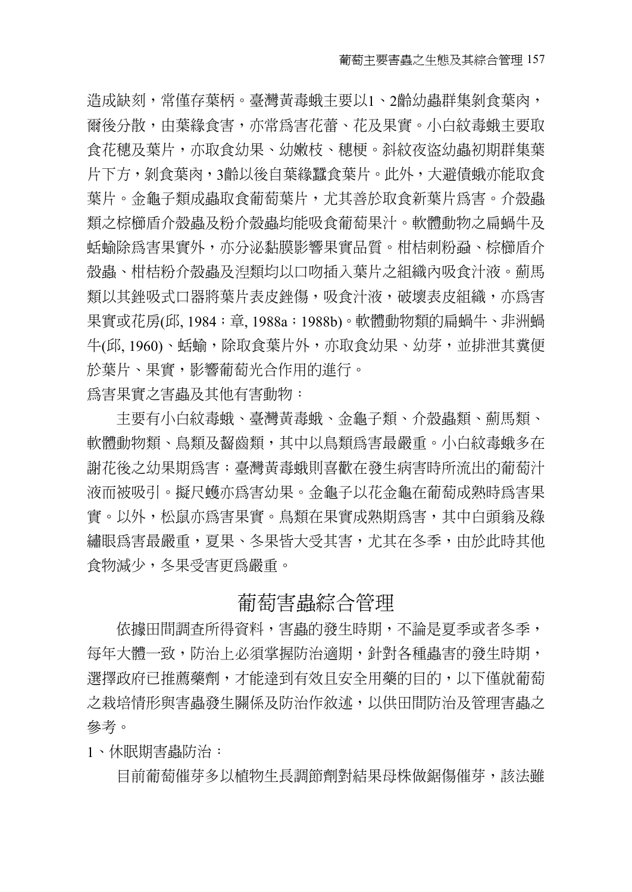造成缺刻,常僅存葉柄。臺灣黃毒蛾主要以1、2齡幼蟲群集剝食葉肉, 爾後分散,由葉緣食害,亦常爲害花蕾、花及果實。小白紋毒蛾主要取 食花穗及葉片,亦取食幼果、幼嫩枝、穗梗。斜紋夜盜幼蟲初期群集葉 片下方,剝食葉肉,3齡以後自葉緣蠶食葉片。此外,大避債蛾亦能取食 葉片。金龜子類成蟲取食葡萄葉片,尤其善於取食新葉片為害。介殼蟲 類之棕櫛盾介殼蟲及粉介殼蟲均能吸食葡萄果汁。軟體動物之扁蝸牛及 蛞蝓除為害果實外,亦分泌黏膜影響果實品質。柑桔刺粉蝨、棕櫛盾介 殼蟲、柑桔粉介殼蟲及 類均以口吻插入葉片之組織內吸食汁液。薊馬 類以其銼吸式口器將葉片表皮銼傷,吸食汁液,破壞表皮組織,亦為害 果實或花房(邱, 1984; 章, 1988a; 1988b)。軟體動物類的扁蝸牛、非洲蝸 牛(邱, 1960)、蛞蝓,除取食葉片外,亦取食幼果、幼芽,並排泄其糞便 於葉片、果實,影響葡萄光合作用的進行。 為害果實之害蟲及其他有害動物:

主要有小白紋毒蛾、臺灣黃毒蛾、金龜子類、介殼蟲類、薊馬類、 軟體動物類、鳥類及齧齒類,其中以鳥類爲害最嚴重。小白紋毒蛾多在 謝花後之幼果期為害;臺灣黃毒蛾則喜歡在發生病害時所流出的葡萄汁 液而被吸引。擬尺蠖亦為害幼果。金龜子以花金龜在葡萄成熟時為害果 實。以外,松鼠亦爲害果實。鳥類在果實成熟期爲害,其中白頭翁及綠 繡眼為害最嚴重,夏果、冬果皆大受其害,尤其在冬季,由於此時其他 食物減少,冬果受害更為嚴重。

### 葡萄害蟲綜合管理

依據田間調査所得資料,害蟲的發生時期,不論是夏季或者冬季, 每年大體一致,防治上必須掌握防治適期,針對各種蟲害的發生時期, 選擇政府已推薦藥劑,才能達到有效且安全用藥的目的,以下僅就葡萄 之栽培情形與害蟲發生關係及防治作敘述,以供田間防治及管理害蟲之 參考。

1、休眠期害蟲防治:

目前葡萄催芽多以植物生長調節劑對結果母株做鋸傷催芽,該法雖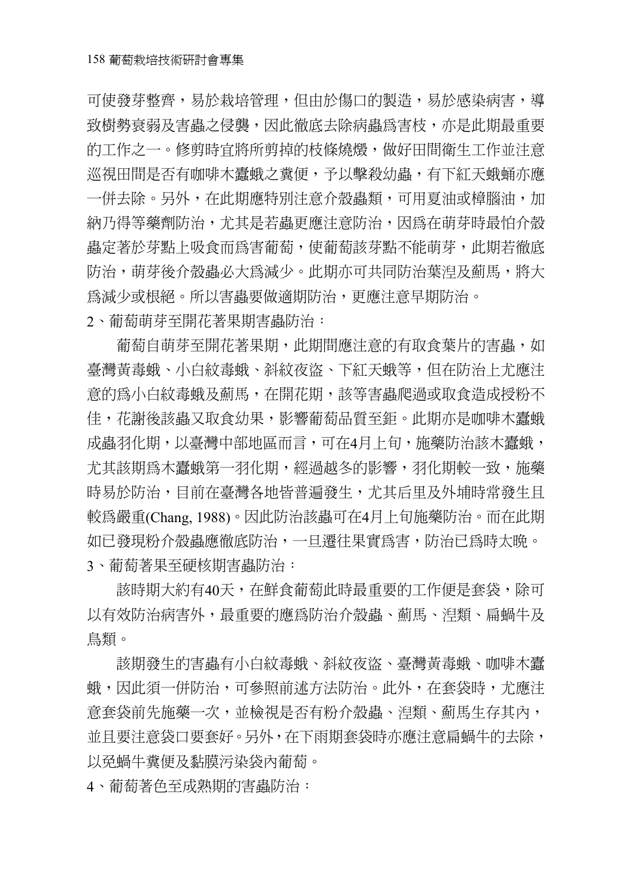可使發芽整齊,易於栽培管理,但由於傷口的製造,易於感染病害,導 致樹勢衰弱及害蟲之侵襲,因此徹底去除病蟲為害枝,亦是此期最重要 的工作之一。修剪時宜將所剪掉的枝條燒燬,做好田間衛生工作並注意 巡視田間是否有咖啡木蠹蛾之糞便,予以擊殺幼蟲,有下紅天蛾蛹亦應。 一併去除。另外,在此期應特別注意介殼蟲類,可用夏油或樟腦油,加 納乃得等藥劑防治,尤其是若蟲更應注意防治,因為在萌芽時最怕介殼 蟲定著於芽點上吸食而為害葡萄,使葡萄該芽點不能萌芽,此期若徹底 防治,萌芽後介殼蟲必大為減少。此期亦可共同防治葉湼及薊馬,將大 為減少或根絕。所以害蟲要做適期防治,更應注意早期防治。

2、葡萄萌芽至開花著果期害蟲防治:

葡萄自萌芽至開花著果期,此期間應注意的有取食葉片的害蟲,如 臺灣黃毒蛾、小白紋毒蛾、斜紋夜盜、下紅天蛾等,但在防治上尤應注 意的為小白紋毒蛾及薊馬,在開花期,該等害蟲爬過或取食造成授粉不 佳,花謝後該蟲又取食幼果,影響葡萄品質至鉅。此期亦是咖啡木蠹蛾 成蟲羽化期,以臺灣中部地區而言,可在4月上旬,施藥防治該木蠹蛾, 尤其該期爲木蠹蛾第一羽化期,經過越冬的影響,羽化期較一致,施藥 時易於防治,目前在臺灣各地皆普遍發生,尤其后里及外埔時常發生且 較為嚴重(Chang, 1988)。因此防治該蟲可在4月上旬施藥防治。而在此期 如已發現粉介殼蟲應徹底防治,一旦遷往果實為害,防治已為時太晚。 3、葡萄著果至硬核期害蟲防治:

該時期大約有40天,在鮮食葡萄此時最重要的工作便是套袋,除可 以有效防治病害外,最重要的應為防治介殼蟲、薊馬、湼類、扁蝸牛及 鳥類。

該期發生的害蟲有小白紋毒蛾、斜紋夜盜、臺灣黃毒蛾、咖啡木蠹 蛾,因此須一併防治,可參照前述方法防治。此外,在套袋時,尤應注 意套袋前先施藥一次,並檢視是否有粉介殼蟲、湼類、薊馬生存其內, 並且要注意袋口要套好。另外,在下雨期套袋時亦應注意扁蝸牛的去除, 以免蝸牛糞便及黏膜污染袋內葡萄。

4、葡萄著色至成熟期的害蟲防治: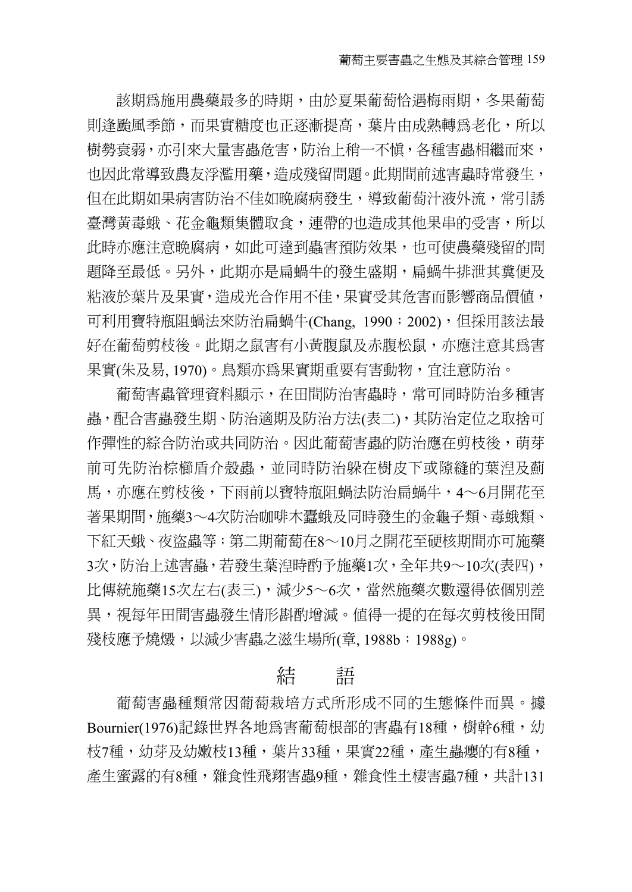該期為施用農藥最多的時期,由於夏果葡萄恰遇梅雨期,冬果葡萄 則逢颱風季節,而果實糖度也正逐漸提高,葉片由成熟轉爲老化,所以 樹勢衰弱,亦引來大量害蟲危害,防治上稍一不愼,各種害蟲相繼而來, 也因此常導致農友浮濫用藥,造成殘留問題。此期間前述害蟲時常發生, 但在此期如果病害防治不佳如晚腐病發生,導致葡萄汁液外流,常引誘 臺灣黃毒蛾、花金龜類集體取食,連帶的也造成其他果串的受害,所以 此時亦應注意晩腐病,如此可達到蟲害預防效果,也可使農藥殘留的問 題降至最低。另外,此期亦是扁蝸牛的發生盛期,扁蝸牛排泄其糞便及 粘液於葉片及果實,造成光合作用不佳,果實受其危害而影響商品價值, 可利用寶特瓶阻蝸法來防治扁蝸牛(Chang, 1990; 2002),但採用該法最 好在葡萄剪枝後。此期之鼠害有小黃腹鼠及赤腹松鼠,亦應注意其為害 果實(朱及易, 1970)。鳥類亦為果實期重要有害動物,宜注意防治。

葡萄害蟲管理資料顯示,在田間防治害蟲時,常可同時防治多種害 蟲,配合害蟲發生期、防治適期及防治方法(表二),其防治定位之取捨可 作彈性的綜合防治或共同防治。因此葡萄害蟲的防治應在剪枝後,萌芽 前可先防治棕櫛盾介殼蟲,並同時防治躲在樹皮下或隙縫的葉湼及薊 馬,亦應在剪枝後,下雨前以寶特瓶阻蝸法防治扁蝸牛,4∼6月開花至 著果期間,施藥3∼4次防治咖啡木蠹蛾及同時發生的金龜子類、毒蛾類、 下紅天蛾、夜盜蟲等;第二期葡萄在8∼10月之開花至硬核期間亦可施藥 3次,防治上述害蟲,若發生葉湼時酌予施藥1次,全年共9〜10次(表四), 比傳統施藥15次左右(表三),減少5∼6次,當然施藥次數還得依個別差 異,視每年田間害蟲發生情形斟酌增減。值得一提的在每次剪枝後田間 殘枝應予燒燬,以減少害蟲之滋生場所(章, 1988b;1988g)。

## 結 語

葡萄害蟲種類常因葡萄栽培方式所形成不同的生態條件而異。據 Bournier(1976)記錄世界各地為害葡萄根部的害蟲有18種,樹幹6種,幼 枝7種,幼芽及幼嫩枝13種,葉片33種,果實22種,產生蟲癭的有8種, 產生蜜露的有8種,雜食性飛翔害蟲9種,雜食性土棲害蟲7種,共計131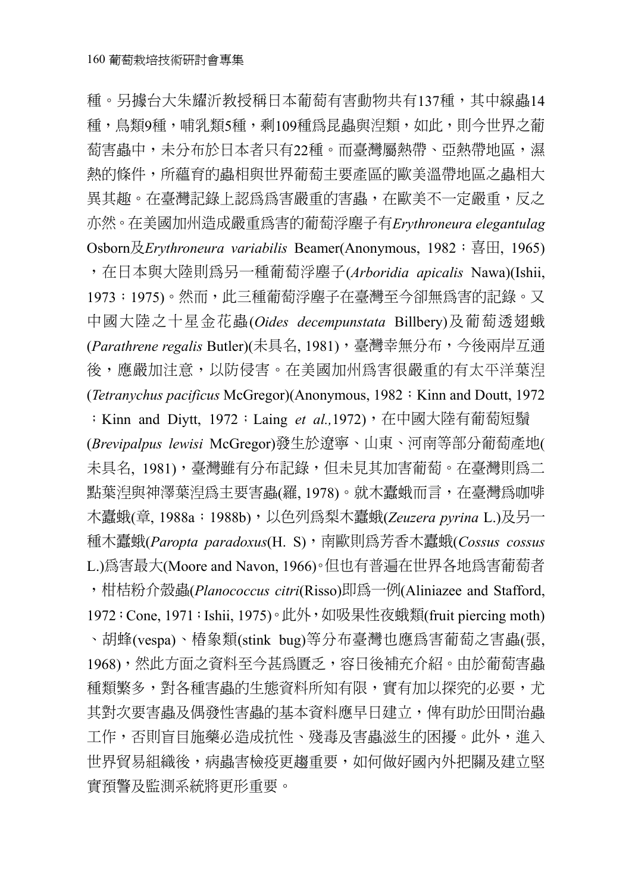種。另據台大朱耀沂教授稱日本葡萄有害動物共有137種,其中線蟲14 種,鳥類9種,哺乳類5種,剩109種為昆蟲與湼類,如此,則今世界之葡 萄害蟲中,未分布於日本者只有22種。而臺灣屬熱帶、亞熱帶地區,濕 熱的條件,所蘊育的蟲相與世界葡萄主要產區的歐美溫帶地區之蟲相大 異其趣。在臺灣記錄上認為為害嚴重的害蟲,在歐美不一定嚴重,反之 亦然。在美國加州造成嚴重為害的葡萄浮塵子有*Erythroneura elegantulag*  Osborn及*Erythroneura variabilis* Beamer(Anonymous, 1982;喜田, 1965) ,在日本與大陸則為另一種葡萄浮塵子(*Arboridia apicalis* Nawa)(Ishii, 1973;1975)。然而,此三種葡萄浮塵子在臺灣至今卻無為害的記錄。又 中國大陸之十星金花蟲(*Oides decempunstata* Billbery)及葡萄透翅蛾 (Parathrene regalis Butler)(未具名, 1981),臺灣幸無分布,今後兩岸互通 後,應嚴加注意,以防侵害。在美國加州為害很嚴重的有太平洋葉湼 (*Tetranychus pacificus* McGregor)(Anonymous, 1982; Kinn and Doutt, 1972

;Kinn and Diytt, 1972;Laing *et al.,*1972),在中國大陸有葡萄短鬚 (*Brevipalpus lewisi* McGregor)發生於遼寧、山東、河南等部分葡萄產地( 未具名, 1981),臺灣雖有分布記錄,但未見其加害葡萄。在臺灣則為二 點葉湼與神澤葉湼為主要害蟲(羅, 1978)。就木蠹蛾而言, 在臺灣為咖啡 木蠹蛾(章, 1988a;1988b),以色列為梨木蠹蛾(*Zeuzera pyrina* L.)及另一 種木蠹蛾(*Paropta paradoxus*(H. S),南歐則為芳香木蠹蛾(*Cossus cossus* L.)為害最大(Moore and Navon, 1966)。但也有普遍在世界各地為害葡萄者 ,柑桔粉介殼蟲(*Planococcus citri*(Risso)即為一例(Aliniazee and Stafford, 1972; Cone, 1971; Ishii, 1975)。此外, 如吸果性夜蛾類(fruit piercing moth) 、胡蜂(vespa)、椿象類(stink bug)等分布臺灣也應為害葡萄之害蟲(張, 1968),然此方面之資料至今甚為匱乏,容日後補充介紹。由於葡萄害蟲 種類繁多,對各種害蟲的生態資料所知有限,實有加以探究的必要,尤 其對次要害蟲及偶發性害蟲的基本資料應早日建立,俾有助於田間治蟲 工作,否則盲目施藥必造成抗性、殘毒及害蟲滋生的困擾。此外,進入 世界貿易組織後,病蟲害檢疫更趨重要,如何做好國內外把關及建立堅 實預警及監測系統將更形重要。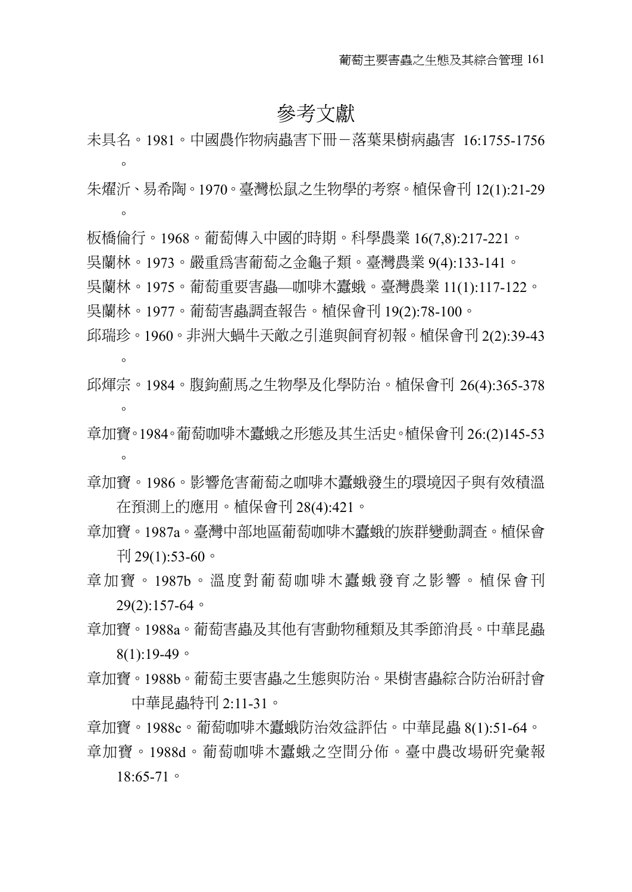## 參考文獻

未具名。1981。中國農作物病蟲害下冊-落葉果樹病蟲害 16:1755-1756  $\circ$ 

朱燿沂、易希陶。1970。臺灣松鼠之生物學的考察。植保會刊 12(1):21-29  $\circ$ 

- 板橋倫行。1968。葡萄傳入中國的時期。科學農業 16(7,8):217-221。
- 吳蘭林。1973。嚴重為害葡萄之金龜子類。臺灣農業 9(4):133-141。
- 吳蘭林。1975。葡萄重要害蟲—咖啡木蠹蛾。臺灣農業 11(1):117-122。 吳蘭林。1977。葡萄害蟲調查報告。植保會刊 19(2):78-100。
- 邱瑞珍。1960。非洲大蝸牛天敵之引進與飼育初報。植保會刊 2(2):39-43  $\circ$
- 邱煇宗。1984。腹鉤薊馬之生物學及化學防治。植保會刊 26(4):365-378  $\Omega$
- 章加寶。1984。葡萄咖啡木蠹蛾之形態及其生活史。植保會刊 26:(2)145-53  $\circ$
- 章加寶。1986。影響危害葡萄之咖啡木蠹蛾發生的環境因子與有效積溫 在預測上的應用。植保會刊 28(4):421。
- 章加寶。1987a。臺灣中部地區葡萄咖啡木蠹蛾的族群變動調查。植保會 刊 29 $(1)$ :53-60。
- 章加寶。1987b。溫度對葡萄咖啡木蠹蛾發育之影響。植保會刊 29(2):157-64。
- 章加寶。1988a。葡萄害蟲及其他有害動物種類及其季節消長。中華昆蟲  $8(1):19-49$
- 章加寶。1988b。葡萄主要害蟲之生態與防治。果樹害蟲綜合防治研討會 中華昆蟲特刊 2:11-31。
- 章加寶。1988c。葡萄咖啡木蠹蛾防治效益評估。中華昆蟲 8(1):51-64。
- 章加寶。1988d。葡萄咖啡木蠹蛾之空間分佈。臺中農改場研究彙報

18:65-71。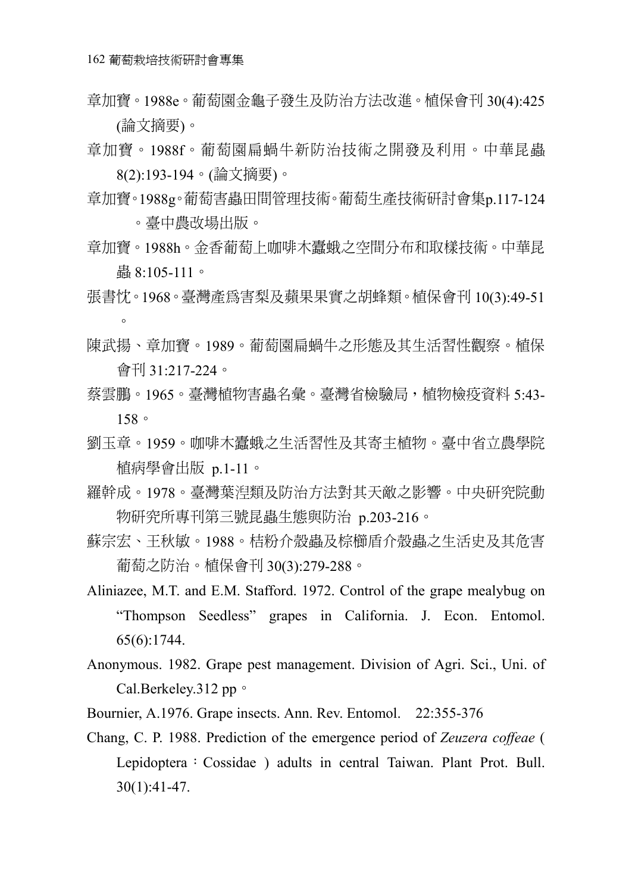- 章加寶。1988e。葡萄園金龜子發生及防治方法改進。植保會刊 30(4):425 (論文摘要)。
- 章加寶。1988f。葡萄園扁蝸牛新防治技術之開發及利用。中華昆蟲 8(2):193-194。(論文摘要)。
- 章加寶。1988g。葡萄害蟲田間管理技術。葡萄生產技術研討會集p.117-124 。臺中農改場出版。
- 章加寶。1988h。金香葡萄上咖啡木蠹蛾之空間分布和取樣技術。中華昆 蟲 8:105-111。
- 張書忱。1968。臺灣產為害梨及蘋果果實之胡蜂類。植保會刊 10(3):49-51  $\Omega$
- 陳武揚、章加寶。1989。葡萄園扁蝸牛之形態及其生活習性觀察。植保 會刊 31:217-224。
- 蔡雲鵬。1965。臺灣植物害蟲名彙。臺灣省檢驗局,植物檢疫資料 5:43-158。
- 劉玉章。1959。咖啡木蠹蛾之生活習性及其寄主植物。臺中省立農學院 植病學會出版 p.1-11。
- 羅幹成。1978。臺灣葉湼類及防治方法對其天敵之影響。中央研究院動 物研究所專刊第三號昆蟲生態與防治 p.203-216。
- 蘇宗宏、王秋敏。1988。桔粉介殼蟲及棕櫛盾介殼蟲之生活史及其危害 葡萄之防治。植保會刊 30(3):279-288。
- Aliniazee, M.T. and E.M. Stafford. 1972. Control of the grape mealybug on "Thompson Seedless" grapes in California. J. Econ. Entomol. 65(6):1744.
- Anonymous. 1982. Grape pest management. Division of Agri. Sci., Uni. of Cal.Berkeley.312 pp。
- Bournier, A.1976. Grape insects. Ann. Rev. Entomol. 22:355-376
- Chang, C. P. 1988. Prediction of the emergence period of *Zeuzera coffeae* ( Lepidoptera: Cossidae ) adults in central Taiwan. Plant Prot. Bull. 30(1):41-47.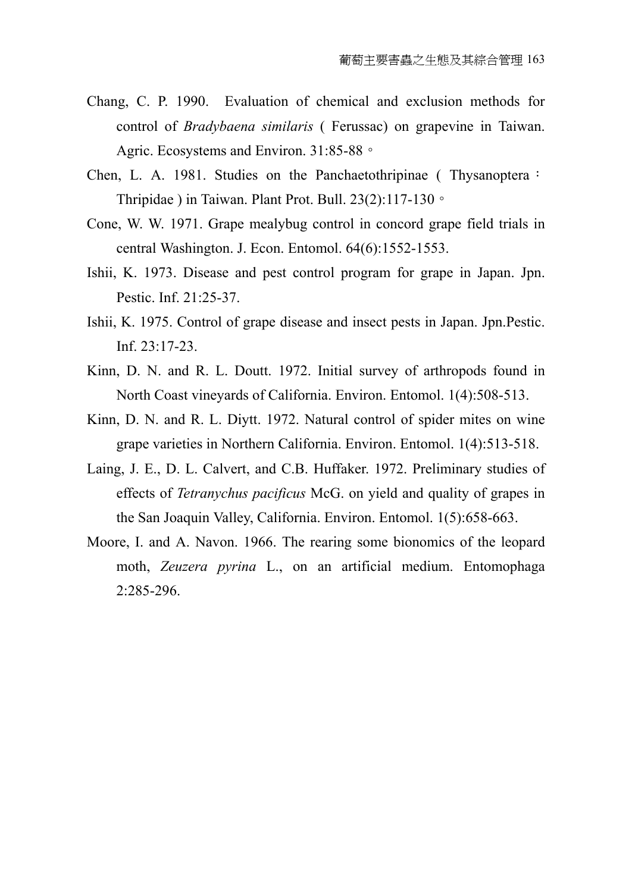- Chang, C. P. 1990. Evaluation of chemical and exclusion methods for control of *Bradybaena similaris* ( Ferussac) on grapevine in Taiwan. Agric. Ecosystems and Environ. 31:85-88。
- Chen, L. A. 1981. Studies on the Panchaetothripinae (Thysanoptera: Thripidae ) in Taiwan. Plant Prot. Bull. 23(2):117-130。
- Cone, W. W. 1971. Grape mealybug control in concord grape field trials in central Washington. J. Econ. Entomol. 64(6):1552-1553.
- Ishii, K. 1973. Disease and pest control program for grape in Japan. Jpn. Pestic. Inf. 21:25-37.
- Ishii, K. 1975. Control of grape disease and insect pests in Japan. Jpn.Pestic. Inf. 23:17-23.
- Kinn, D. N. and R. L. Doutt. 1972. Initial survey of arthropods found in North Coast vineyards of California. Environ. Entomol. 1(4):508-513.
- Kinn, D. N. and R. L. Diytt. 1972. Natural control of spider mites on wine grape varieties in Northern California. Environ. Entomol. 1(4):513-518.
- Laing, J. E., D. L. Calvert, and C.B. Huffaker. 1972. Preliminary studies of effects of *Tetranychus pacificus* McG. on yield and quality of grapes in the San Joaquin Valley, California. Environ. Entomol. 1(5):658-663.
- Moore, I. and A. Navon. 1966. The rearing some bionomics of the leopard moth, *Zeuzera pyrina* L., on an artificial medium. Entomophaga 2:285-296.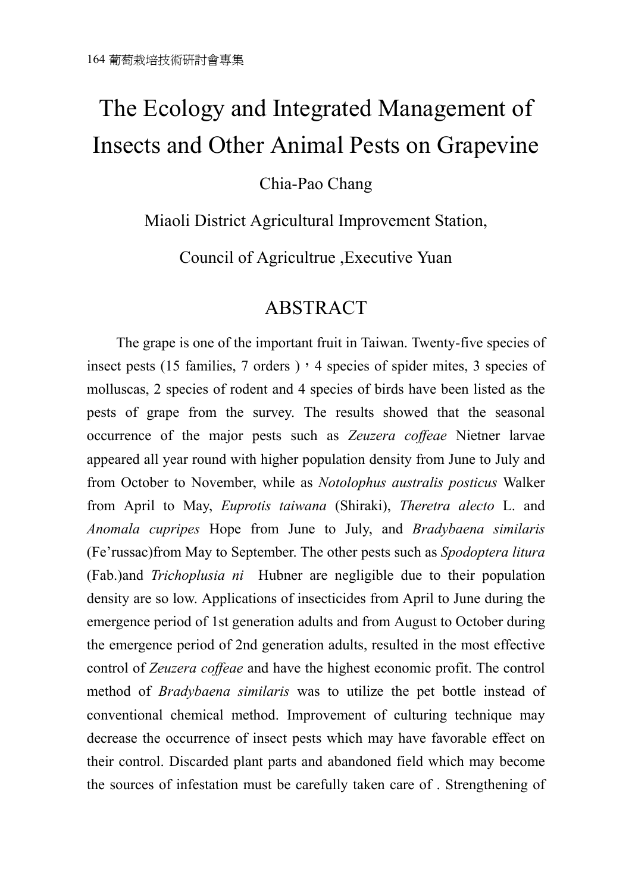## The Ecology and Integrated Management of Insects and Other Animal Pests on Grapevine

## Chia-Pao Chang

Miaoli District Agricultural Improvement Station,

Council of Agricultrue ,Executive Yuan

## ABSTRACT

The grape is one of the important fruit in Taiwan. Twenty-five species of insect pests (15 families, 7 orders)  $, 4$  species of spider mites, 3 species of molluscas, 2 species of rodent and 4 species of birds have been listed as the pests of grape from the survey. The results showed that the seasonal occurrence of the major pests such as *Zeuzera coffeae* Nietner larvae appeared all year round with higher population density from June to July and from October to November, while as *Notolophus australis posticus* Walker from April to May, *Euprotis taiwana* (Shiraki), *Theretra alecto* L. and *Anomala cupripes* Hope from June to July, and *Bradybaena similaris* (Fe'russac)from May to September. The other pests such as *Spodoptera litura*  (Fab.)and *Trichoplusia ni* Hubner are negligible due to their population density are so low. Applications of insecticides from April to June during the emergence period of 1st generation adults and from August to October during the emergence period of 2nd generation adults, resulted in the most effective control of *Zeuzera coffeae* and have the highest economic profit. The control method of *Bradybaena similaris* was to utilize the pet bottle instead of conventional chemical method. Improvement of culturing technique may decrease the occurrence of insect pests which may have favorable effect on their control. Discarded plant parts and abandoned field which may become the sources of infestation must be carefully taken care of . Strengthening of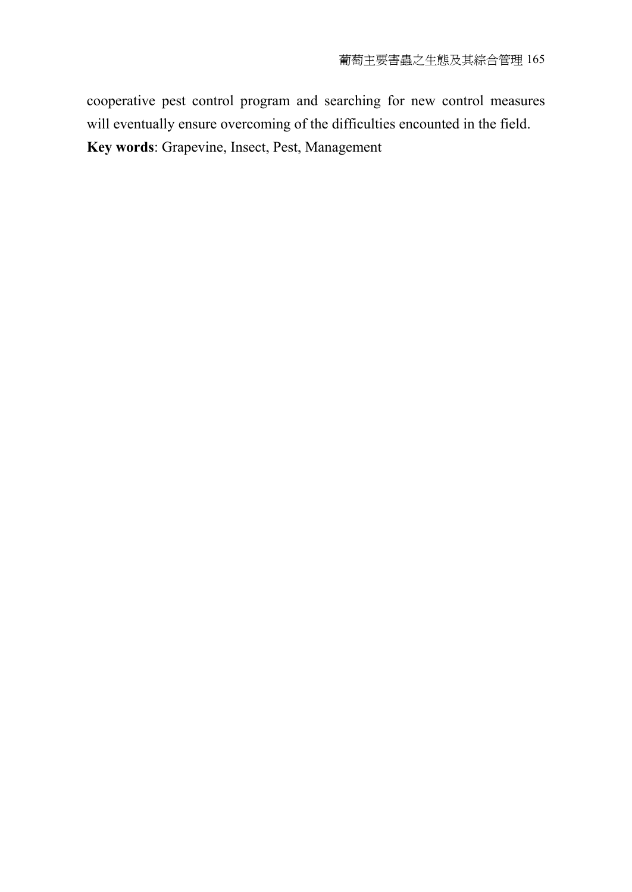cooperative pest control program and searching for new control measures will eventually ensure overcoming of the difficulties encounted in the field. **Key words**: Grapevine, Insect, Pest, Management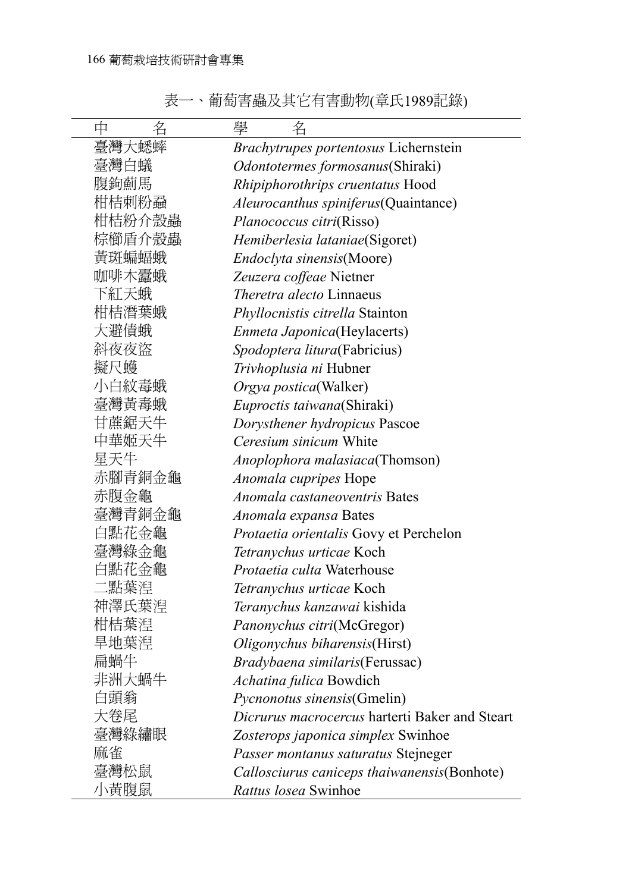表一、葡萄害蟲及其它有害動物(章氏1989記錄)

| 名<br>中 | 學<br>名                                         |
|--------|------------------------------------------------|
| 臺灣大蟋蟀  | <i>Brachytrupes portentosus</i> Lichernstein   |
| 臺灣白蟻   | <i>Odontotermes formosanus</i> (Shiraki)       |
| 腹鉤薊馬   | Rhipiphorothrips cruentatus Hood               |
| 柑桔刺粉蝨  | Aleurocanthus spiniferus(Quaintance)           |
| 柑桔粉介殼蟲 | <i>Planococcus citri</i> (Risso)               |
| 棕櫛盾介殼蟲 | Hemiberlesia lataniae(Sigoret)                 |
| 黃斑蝙蝠蛾  | Endoclyta sinensis(Moore)                      |
| 咖啡木蠹蛾  | Zeuzera coffeae Nietner                        |
| 下紅天蛾   | Theretra alecto Linnaeus                       |
| 柑桔潛葉蛾  | Phyllocnistis citrella Stainton                |
| 大避債蛾   | <i>Enmeta Japonica</i> (Heylacerts)            |
| 斜夜夜盜   | <i>Spodoptera litura</i> (Fabricius)           |
| 擬尺蠖    | <i>Trivhoplusia ni</i> Hubner                  |
| 小白紋毒蛾  | Orgya postica(Walker)                          |
| 臺灣黃毒蛾  | Euproctis taiwana(Shiraki)                     |
| 甘蔗鋸天牛  | Dorysthener hydropicus Pascoe                  |
| 中華姬天牛  | Ceresium sinicum White                         |
| 星天牛    | Anoplophora malasiaca(Thomson)                 |
| 赤腳青銅金龜 | <i>Anomala cupripes</i> Hope                   |
| 赤腹金龜   | Anomala castaneoventris Bates                  |
| 臺灣青銅金龜 | Anomala expansa Bates                          |
| 白點花金龜  | Protaetia orientalis Govy et Perchelon         |
| 臺灣綠金龜  | Tetranychus urticae Koch                       |
| 白點花金龜  | Protaetia culta Waterhouse                     |
| :點葉湼   | Tetranychus urticae Koch                       |
| 神澤氏葉湼  | Teranychus kanzawai kishida                    |
| 柑桔葉湼   | Panonychus citri(McGregor)                     |
| 旱地葉湼   | Oligonychus biharensis(Hirst)                  |
| 扁蝸牛    | Bradybaena similaris(Ferussac)                 |
| 非洲大蝸牛  | Achatina fulica Bowdich                        |
| 白頭翁    | <i>Pycnonotus sinensis</i> (Gmelin)            |
| 大卷尾    | Dicrurus macrocercus harterti Baker and Steart |
| 臺灣綠繡眼  | Zosterops japonica simplex Swinhoe             |
| 麻雀     | Passer montanus saturatus Stejneger            |
| 臺灣松鼠   | Callosciurus caniceps thaiwanensis (Bonhote)   |
| 小黃腹鼠   | Rattus losea Swinhoe                           |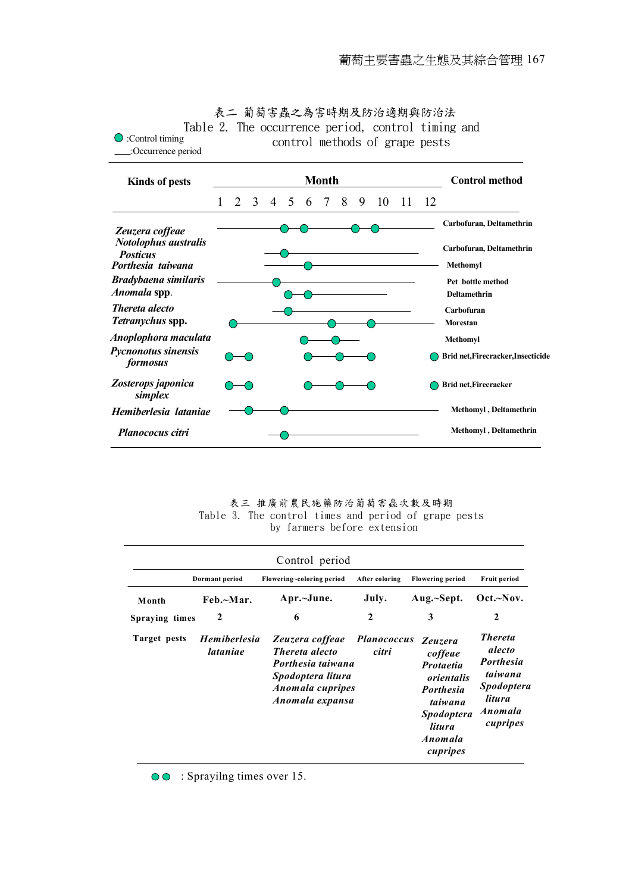

表二 葡萄害蟲之為害時期及防治適期與防治法 Table 2. The occurrence period, control timing and

表三 推廣前農民施藥防治葡萄害蟲次數及時期 Table 3. The control times and period of grape pests by farmers before extension

|                | Dormant period                  | Flowering~coloring period                                                                                                 | After coloring              | <b>Flowering period</b>                                                                                                                   | <b>Fruit period</b>                                                                                           |
|----------------|---------------------------------|---------------------------------------------------------------------------------------------------------------------------|-----------------------------|-------------------------------------------------------------------------------------------------------------------------------------------|---------------------------------------------------------------------------------------------------------------|
| Month          | Feb.~Mar.                       | Apr.~June.                                                                                                                | July.                       | Aug.~Sept.                                                                                                                                | $Oct.-Nov.$                                                                                                   |
| Spraying times | 2                               | 6                                                                                                                         | $\mathbf{2}$                | 3                                                                                                                                         | $\boldsymbol{2}$                                                                                              |
| Target pests   | <b>Hemiberlesia</b><br>lataniae | Zeuzera coffeae<br><i>Thereta alecto</i><br>Porthesia taiwana<br>Spodoptera litura<br>Anomala cupripes<br>Anomala expansa | <b>Planococcus</b><br>citri | Zeuzera<br>coffeae<br><b>Protaetia</b><br>orientalis<br><b>Porthesia</b><br>taiwana<br><i>Spodoptera</i><br>litura<br>Anomala<br>cupripes | <i>Thereta</i><br>alecto<br><b>Porthesia</b><br>taiwana<br><b>Spodoptera</b><br>litura<br>Anomala<br>cupripes |